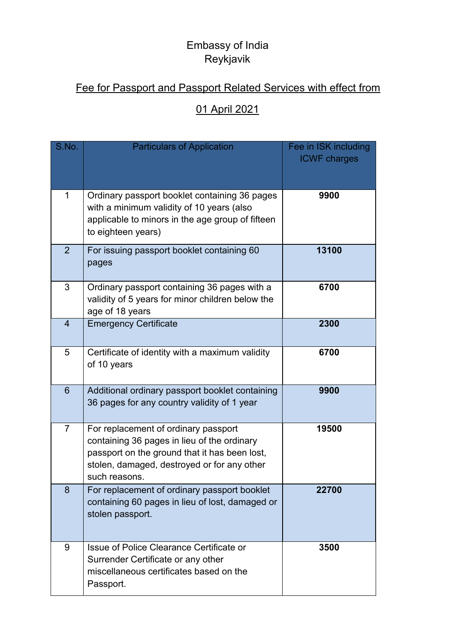## Embassy of India Reykjavik

## Fee for Passport and Passport Related Services with effect from

## 01 April 2021

| S.No.          | <b>Particulars of Application</b>                                                                                                                                                                    | Fee in ISK including<br><b>ICWF charges</b> |  |
|----------------|------------------------------------------------------------------------------------------------------------------------------------------------------------------------------------------------------|---------------------------------------------|--|
|                | Ordinary passport booklet containing 36 pages<br>with a minimum validity of 10 years (also<br>applicable to minors in the age group of fifteen<br>to eighteen years)                                 | 9900                                        |  |
| $\overline{2}$ | For issuing passport booklet containing 60<br>pages                                                                                                                                                  | 13100                                       |  |
| 3              | Ordinary passport containing 36 pages with a<br>validity of 5 years for minor children below the<br>age of 18 years                                                                                  | 6700                                        |  |
| $\overline{4}$ | <b>Emergency Certificate</b>                                                                                                                                                                         | 2300                                        |  |
| 5              | Certificate of identity with a maximum validity<br>of 10 years                                                                                                                                       | 6700                                        |  |
| 6              | Additional ordinary passport booklet containing<br>36 pages for any country validity of 1 year                                                                                                       | 9900                                        |  |
| $\overline{7}$ | For replacement of ordinary passport<br>containing 36 pages in lieu of the ordinary<br>passport on the ground that it has been lost,<br>stolen, damaged, destroyed or for any other<br>such reasons. | 19500                                       |  |
| 8              | For replacement of ordinary passport booklet<br>containing 60 pages in lieu of lost, damaged or<br>stolen passport.                                                                                  | 22700                                       |  |
| 9              | Issue of Police Clearance Certificate or<br>Surrender Certificate or any other<br>miscellaneous certificates based on the<br>Passport.                                                               | 3500                                        |  |